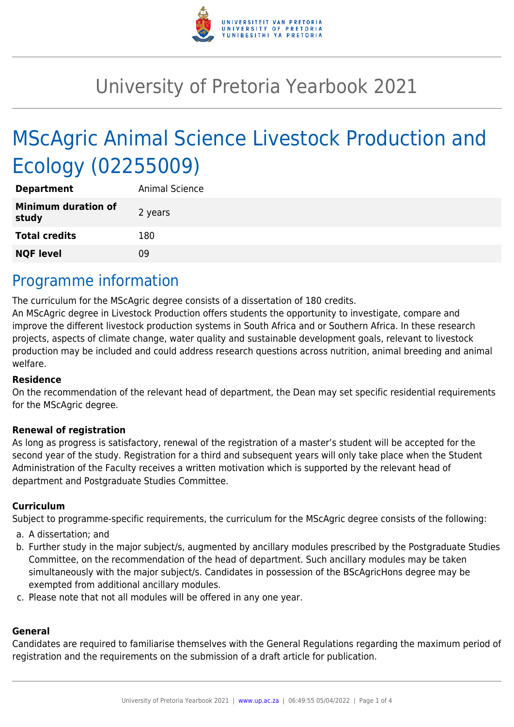

# University of Pretoria Yearbook 2021

# MScAgric Animal Science Livestock Production and Ecology (02255009)

| <b>Department</b>                   | Animal Science |
|-------------------------------------|----------------|
| <b>Minimum duration of</b><br>study | 2 years        |
| <b>Total credits</b>                | 180            |
| <b>NQF level</b>                    | 09             |

### Programme information

The curriculum for the MScAgric degree consists of a dissertation of 180 credits.

An MScAgric degree in Livestock Production offers students the opportunity to investigate, compare and improve the different livestock production systems in South Africa and or Southern Africa. In these research projects, aspects of climate change, water quality and sustainable development goals, relevant to livestock production may be included and could address research questions across nutrition, animal breeding and animal welfare.

#### **Residence**

On the recommendation of the relevant head of department, the Dean may set specific residential requirements for the MScAgric degree.

#### **Renewal of registration**

As long as progress is satisfactory, renewal of the registration of a master's student will be accepted for the second year of the study. Registration for a third and subsequent years will only take place when the Student Administration of the Faculty receives a written motivation which is supported by the relevant head of department and Postgraduate Studies Committee.

#### **Curriculum**

Subject to programme-specific requirements, the curriculum for the MScAgric degree consists of the following:

- a. A dissertation; and
- b. Further study in the major subject/s, augmented by ancillary modules prescribed by the Postgraduate Studies Committee, on the recommendation of the head of department. Such ancillary modules may be taken simultaneously with the major subject/s. Candidates in possession of the BScAgricHons degree may be exempted from additional ancillary modules.
- c. Please note that not all modules will be offered in any one year.

#### **General**

Candidates are required to familiarise themselves with the General Regulations regarding the maximum period of registration and the requirements on the submission of a draft article for publication.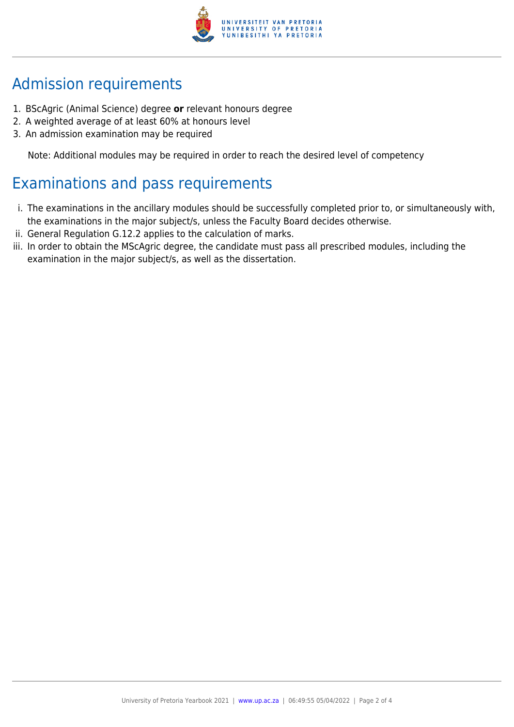

# Admission requirements

- 1. BScAgric (Animal Science) degree **or** relevant honours degree
- 2. A weighted average of at least 60% at honours level
- 3. An admission examination may be required

Note: Additional modules may be required in order to reach the desired level of competency

## Examinations and pass requirements

- i. The examinations in the ancillary modules should be successfully completed prior to, or simultaneously with, the examinations in the major subject/s, unless the Faculty Board decides otherwise.
- ii. General Regulation G.12.2 applies to the calculation of marks.
- iii. In order to obtain the MScAgric degree, the candidate must pass all prescribed modules, including the examination in the major subject/s, as well as the dissertation.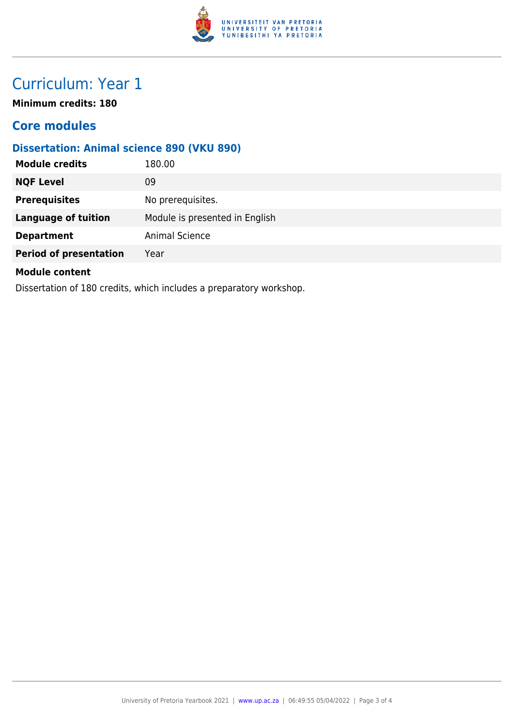

# Curriculum: Year 1

**Minimum credits: 180**

### **Core modules**

### **Dissertation: Animal science 890 (VKU 890)**

| <b>Module credits</b>                                               | 180.00                         |  |
|---------------------------------------------------------------------|--------------------------------|--|
| <b>NQF Level</b>                                                    | 09                             |  |
| <b>Prerequisites</b>                                                | No prerequisites.              |  |
| <b>Language of tuition</b>                                          | Module is presented in English |  |
| <b>Department</b>                                                   | Animal Science                 |  |
| <b>Period of presentation</b>                                       | Year                           |  |
| <b>Module content</b>                                               |                                |  |
| Dissertation of 180 credits, which includes a preparatory workshop. |                                |  |

University of Pretoria Yearbook 2021 | [www.up.ac.za](https://www.up.ac.za/yearbooks/home) | 06:49:55 05/04/2022 | Page 3 of 4